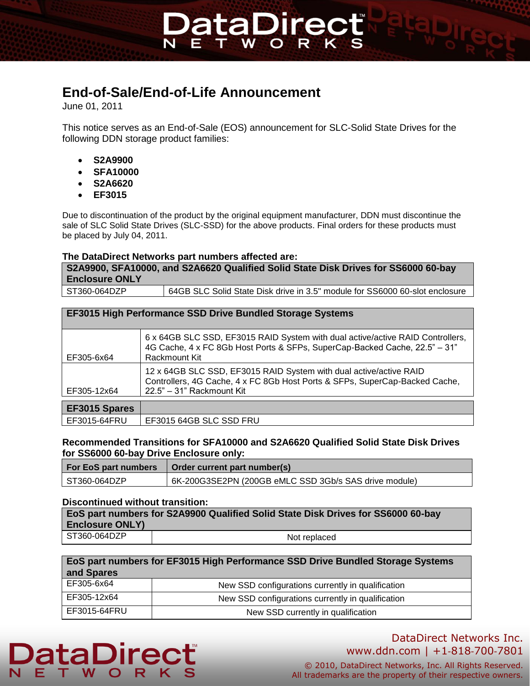### **End-of-Sale/End-of-Life Announcement**

June 01, 2011

This notice serves as an End-of-Sale (EOS) announcement for SLC-Solid State Drives for the following DDN storage product families:

taDire

- **S2A9900**
- **SFA10000**
- **S2A6620**
- **EF3015**

Due to discontinuation of the product by the original equipment manufacturer, DDN must discontinue the sale of SLC Solid State Drives (SLC-SSD) for the above products. Final orders for these products must be placed by July 04, 2011.

#### **The DataDirect Networks part numbers affected are:**

**S2A9900, SFA10000, and S2A6620 Qualified Solid State Disk Drives for SS6000 60-bay Enclosure ONLY**

| ST360-064DZP | 64GB SLC Solid State Disk drive in 3.5" module for SS6000 60-slot enclosure |
|--------------|-----------------------------------------------------------------------------|
|--------------|-----------------------------------------------------------------------------|

#### **EF3015 High Performance SSD Drive Bundled Storage Systems**

| EF305-6x64           | 6 x 64GB SLC SSD, EF3015 RAID System with dual active/active RAID Controllers,<br>4G Cache, 4 x FC 8Gb Host Ports & SFPs, SuperCap-Backed Cache, 22.5" - 31"<br>Rackmount Kit  |
|----------------------|--------------------------------------------------------------------------------------------------------------------------------------------------------------------------------|
| EF305-12x64          | 12 x 64GB SLC SSD, EF3015 RAID System with dual active/active RAID<br>Controllers, 4G Cache, 4 x FC 8Gb Host Ports & SFPs, SuperCap-Backed Cache,<br>22.5" - 31" Rackmount Kit |
|                      |                                                                                                                                                                                |
| <b>EF3015 Spares</b> |                                                                                                                                                                                |
| EF3015-64FRU         | EF3015 64GB SLC SSD FRU                                                                                                                                                        |

#### **Recommended Transitions for SFA10000 and S2A6620 Qualified Solid State Disk Drives for SS6000 60-bay Drive Enclosure only:**

|              | For EoS part numbers   Order current part number(s)   |
|--------------|-------------------------------------------------------|
| ST360-064DZP | 6K-200G3SE2PN (200GB eMLC SSD 3Gb/s SAS drive module) |

#### **Discontinued without transition:**

| <b>Enclosure ONLY)</b> | EoS part numbers for S2A9900 Qualified Solid State Disk Drives for SS6000 60-bay |
|------------------------|----------------------------------------------------------------------------------|
| ST360-064DZP           | Not replaced                                                                     |

| EoS part numbers for EF3015 High Performance SSD Drive Bundled Storage Systems<br>and Spares |                                                   |
|----------------------------------------------------------------------------------------------|---------------------------------------------------|
| EF305-6x64                                                                                   | New SSD configurations currently in qualification |
| EF305-12x64                                                                                  | New SSD configurations currently in qualification |
| EF3015-64FRU                                                                                 | New SSD currently in qualification                |

## taDıre Е

#### DataDirect Networks Inc. www.ddn.com | +1‐818‐700‐7801

© 2010, DataDirect Networks, Inc. All Rights Reserved. All trademarks are the property of their respective owners.